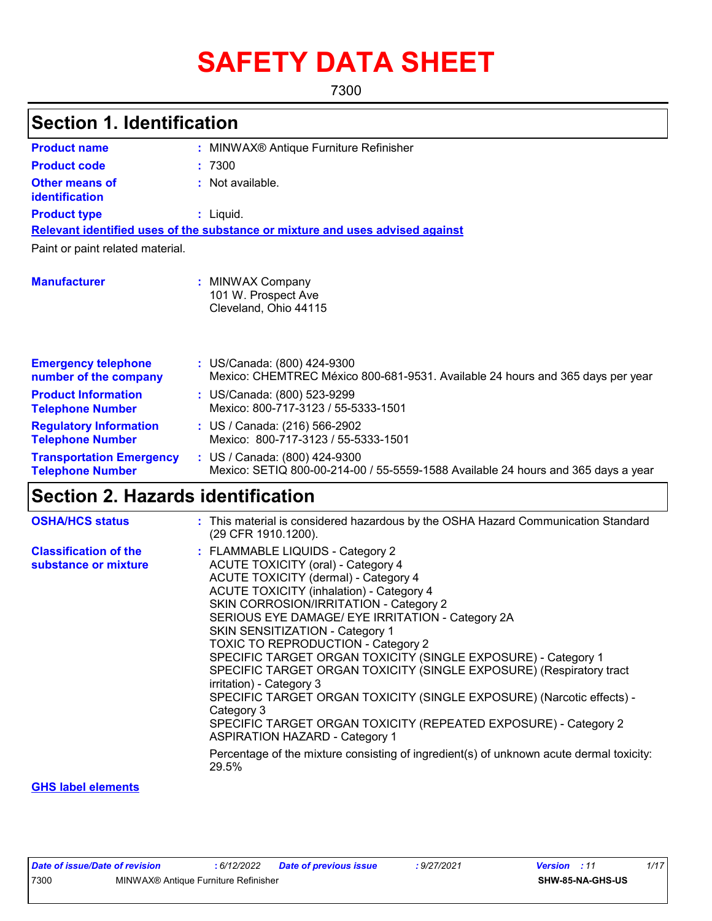# **SAFETY DATA SHEET**

7300

| <b>Section 1. Identification</b>                           |                                                                                                                                                                                                                                                                                                                                                               |  |
|------------------------------------------------------------|---------------------------------------------------------------------------------------------------------------------------------------------------------------------------------------------------------------------------------------------------------------------------------------------------------------------------------------------------------------|--|
| <b>Product name</b>                                        | : MINWAX® Antique Furniture Refinisher                                                                                                                                                                                                                                                                                                                        |  |
| <b>Product code</b>                                        | :7300                                                                                                                                                                                                                                                                                                                                                         |  |
| <b>Other means of</b><br>identification                    | : Not available.                                                                                                                                                                                                                                                                                                                                              |  |
| <b>Product type</b>                                        | : Liquid.                                                                                                                                                                                                                                                                                                                                                     |  |
|                                                            | Relevant identified uses of the substance or mixture and uses advised against                                                                                                                                                                                                                                                                                 |  |
| Paint or paint related material.                           |                                                                                                                                                                                                                                                                                                                                                               |  |
| <b>Manufacturer</b>                                        | : MINWAX Company<br>101 W. Prospect Ave<br>Cleveland, Ohio 44115                                                                                                                                                                                                                                                                                              |  |
| <b>Emergency telephone</b><br>number of the company        | : US/Canada: (800) 424-9300<br>Mexico: CHEMTREC México 800-681-9531. Available 24 hours and 365 days per year                                                                                                                                                                                                                                                 |  |
| <b>Product Information</b><br><b>Telephone Number</b>      | : US/Canada: (800) 523-9299<br>Mexico: 800-717-3123 / 55-5333-1501                                                                                                                                                                                                                                                                                            |  |
| <b>Regulatory Information</b><br><b>Telephone Number</b>   | : US / Canada: (216) 566-2902<br>Mexico: 800-717-3123 / 55-5333-1501                                                                                                                                                                                                                                                                                          |  |
| <b>Transportation Emergency</b><br><b>Telephone Number</b> | : US / Canada: (800) 424-9300<br>Mexico: SETIQ 800-00-214-00 / 55-5559-1588 Available 24 hours and 365 days a year                                                                                                                                                                                                                                            |  |
| <b>Section 2. Hazards identification</b>                   |                                                                                                                                                                                                                                                                                                                                                               |  |
| <b>OSHA/HCS status</b>                                     | : This material is considered hazardous by the OSHA Hazard Communication Standard<br>(29 CFR 1910.1200).                                                                                                                                                                                                                                                      |  |
| <b>Classification of the</b><br>substance or mixture       | : FLAMMABLE LIQUIDS - Category 2<br><b>ACUTE TOXICITY (oral) - Category 4</b><br><b>ACUTE TOXICITY (dermal) - Category 4</b><br><b>ACUTE TOXICITY (inhalation) - Category 4</b><br>SKIN CORROSION/IRRITATION - Category 2<br>SERIOUS EYE DAMAGE/ EYE IRRITATION - Category 2A<br>SKIN SENSITIZATION - Category 1<br><b>TOXIC TO REPRODUCTION - Category 2</b> |  |

SPECIFIC TARGET ORGAN TOXICITY (SINGLE EXPOSURE) - Category 1 SPECIFIC TARGET ORGAN TOXICITY (SINGLE EXPOSURE) (Respiratory tract

Percentage of the mixture consisting of ingredient(s) of unknown acute dermal toxicity:

SPECIFIC TARGET ORGAN TOXICITY (SINGLE EXPOSURE) (Narcotic effects) -

SPECIFIC TARGET ORGAN TOXICITY (REPEATED EXPOSURE) - Category 2

**GHS label elements**

irritation) - Category 3

ASPIRATION HAZARD - Category 1

Category 3

29.5%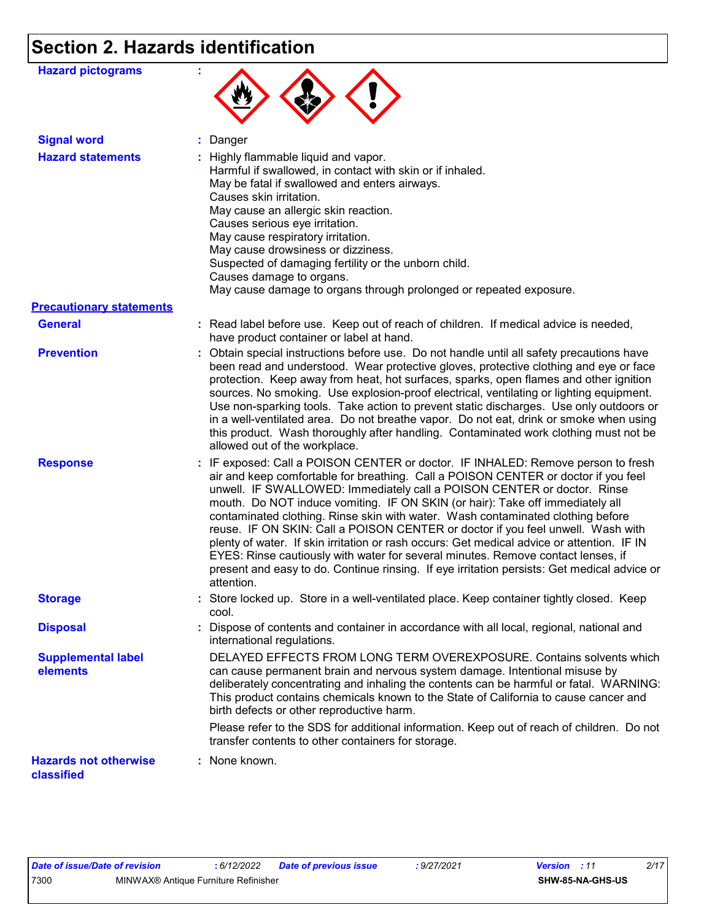# **Section 2. Hazards identification**

| <b>Hazard pictograms</b>                   |                                                                                                                                                                                                                                                                                                                                                                                                                                                                                                                                                                                                                                                                                                                                                                                                         |
|--------------------------------------------|---------------------------------------------------------------------------------------------------------------------------------------------------------------------------------------------------------------------------------------------------------------------------------------------------------------------------------------------------------------------------------------------------------------------------------------------------------------------------------------------------------------------------------------------------------------------------------------------------------------------------------------------------------------------------------------------------------------------------------------------------------------------------------------------------------|
| <b>Signal word</b>                         | : Danger                                                                                                                                                                                                                                                                                                                                                                                                                                                                                                                                                                                                                                                                                                                                                                                                |
| <b>Hazard statements</b>                   | : Highly flammable liquid and vapor.<br>Harmful if swallowed, in contact with skin or if inhaled.<br>May be fatal if swallowed and enters airways.<br>Causes skin irritation.<br>May cause an allergic skin reaction.<br>Causes serious eye irritation.<br>May cause respiratory irritation.<br>May cause drowsiness or dizziness.<br>Suspected of damaging fertility or the unborn child.<br>Causes damage to organs.<br>May cause damage to organs through prolonged or repeated exposure.                                                                                                                                                                                                                                                                                                            |
| <b>Precautionary statements</b>            |                                                                                                                                                                                                                                                                                                                                                                                                                                                                                                                                                                                                                                                                                                                                                                                                         |
| <b>General</b>                             | : Read label before use. Keep out of reach of children. If medical advice is needed,<br>have product container or label at hand.                                                                                                                                                                                                                                                                                                                                                                                                                                                                                                                                                                                                                                                                        |
| <b>Prevention</b>                          | : Obtain special instructions before use. Do not handle until all safety precautions have<br>been read and understood. Wear protective gloves, protective clothing and eye or face<br>protection. Keep away from heat, hot surfaces, sparks, open flames and other ignition<br>sources. No smoking. Use explosion-proof electrical, ventilating or lighting equipment.<br>Use non-sparking tools. Take action to prevent static discharges. Use only outdoors or<br>in a well-ventilated area. Do not breathe vapor. Do not eat, drink or smoke when using<br>this product. Wash thoroughly after handling. Contaminated work clothing must not be<br>allowed out of the workplace.                                                                                                                     |
| <b>Response</b>                            | : IF exposed: Call a POISON CENTER or doctor. IF INHALED: Remove person to fresh<br>air and keep comfortable for breathing. Call a POISON CENTER or doctor if you feel<br>unwell. IF SWALLOWED: Immediately call a POISON CENTER or doctor. Rinse<br>mouth. Do NOT induce vomiting. IF ON SKIN (or hair): Take off immediately all<br>contaminated clothing. Rinse skin with water. Wash contaminated clothing before<br>reuse. IF ON SKIN: Call a POISON CENTER or doctor if you feel unwell. Wash with<br>plenty of water. If skin irritation or rash occurs: Get medical advice or attention. IF IN<br>EYES: Rinse cautiously with water for several minutes. Remove contact lenses, if<br>present and easy to do. Continue rinsing. If eye irritation persists: Get medical advice or<br>attention. |
| <b>Storage</b>                             | Store locked up. Store in a well-ventilated place. Keep container tightly closed. Keep<br>cool.                                                                                                                                                                                                                                                                                                                                                                                                                                                                                                                                                                                                                                                                                                         |
| <b>Disposal</b>                            | : Dispose of contents and container in accordance with all local, regional, national and<br>international regulations.                                                                                                                                                                                                                                                                                                                                                                                                                                                                                                                                                                                                                                                                                  |
| <b>Supplemental label</b><br>elements      | DELAYED EFFECTS FROM LONG TERM OVEREXPOSURE. Contains solvents which<br>can cause permanent brain and nervous system damage. Intentional misuse by<br>deliberately concentrating and inhaling the contents can be harmful or fatal. WARNING:<br>This product contains chemicals known to the State of California to cause cancer and<br>birth defects or other reproductive harm.                                                                                                                                                                                                                                                                                                                                                                                                                       |
|                                            | Please refer to the SDS for additional information. Keep out of reach of children. Do not<br>transfer contents to other containers for storage.                                                                                                                                                                                                                                                                                                                                                                                                                                                                                                                                                                                                                                                         |
| <b>Hazards not otherwise</b><br>classified | : None known.                                                                                                                                                                                                                                                                                                                                                                                                                                                                                                                                                                                                                                                                                                                                                                                           |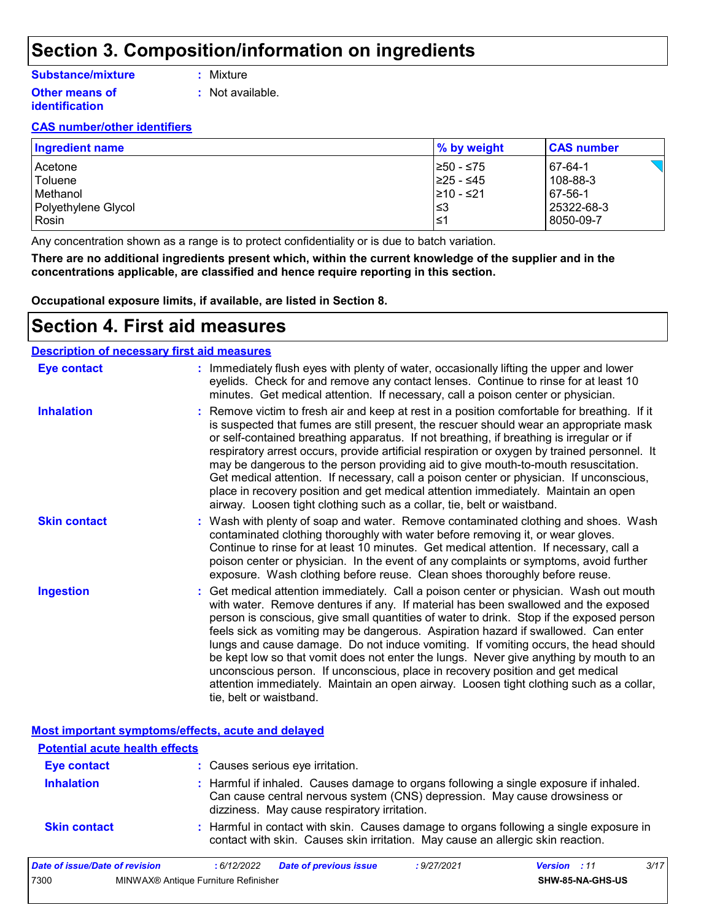### **Section 3. Composition/information on ingredients**

#### **Substance/mixture**

**:** Mixture

**Other means of identification**

- 
- **:** Not available.

#### **CAS number/other identifiers**

| <b>Ingredient name</b> | % by weight | <b>CAS number</b> |
|------------------------|-------------|-------------------|
| Acetone                | I≥50 - ≤75  | 67-64-1           |
| Toluene                | 225 - ≤45   | 108-88-3          |
| <b>Methanol</b>        | 210 - ≤21   | 67-56-1           |
| Polyethylene Glycol    | ∣≤3         | 25322-68-3        |
| Rosin                  | 1≤1         | 8050-09-7         |

Any concentration shown as a range is to protect confidentiality or is due to batch variation.

**There are no additional ingredients present which, within the current knowledge of the supplier and in the concentrations applicable, are classified and hence require reporting in this section.**

**Occupational exposure limits, if available, are listed in Section 8.**

### **Section 4. First aid measures**

#### Get medical attention immediately. Call a poison center or physician. Wash out mouth with water. Remove dentures if any. If material has been swallowed and the exposed person is conscious, give small quantities of water to drink. Stop if the exposed person feels sick as vomiting may be dangerous. Aspiration hazard if swallowed. Can enter lungs and cause damage. Do not induce vomiting. If vomiting occurs, the head should be kept low so that vomit does not enter the lungs. Never give anything by mouth to an unconscious person. If unconscious, place in recovery position and get medical attention immediately. Maintain an open airway. Loosen tight clothing such as a collar, tie, belt or waistband. : Immediately flush eyes with plenty of water, occasionally lifting the upper and lower eyelids. Check for and remove any contact lenses. Continue to rinse for at least 10 minutes. Get medical attention. If necessary, call a poison center or physician. Wash with plenty of soap and water. Remove contaminated clothing and shoes. Wash **:** contaminated clothing thoroughly with water before removing it, or wear gloves. Continue to rinse for at least 10 minutes. Get medical attention. If necessary, call a poison center or physician. In the event of any complaints or symptoms, avoid further exposure. Wash clothing before reuse. Clean shoes thoroughly before reuse. Remove victim to fresh air and keep at rest in a position comfortable for breathing. If it **:** is suspected that fumes are still present, the rescuer should wear an appropriate mask or self-contained breathing apparatus. If not breathing, if breathing is irregular or if respiratory arrest occurs, provide artificial respiration or oxygen by trained personnel. It may be dangerous to the person providing aid to give mouth-to-mouth resuscitation. Get medical attention. If necessary, call a poison center or physician. If unconscious, place in recovery position and get medical attention immediately. Maintain an open airway. Loosen tight clothing such as a collar, tie, belt or waistband. **Eye contact Skin contact Inhalation Ingestion : Description of necessary first aid measures**

**Most important symptoms/effects, acute and delayed**

| <b>Potential acute health effects</b> |                                                                                                                                                                                                                     |
|---------------------------------------|---------------------------------------------------------------------------------------------------------------------------------------------------------------------------------------------------------------------|
| <b>Eye contact</b>                    | : Causes serious eye irritation.                                                                                                                                                                                    |
| <b>Inhalation</b>                     | : Harmful if inhaled. Causes damage to organs following a single exposure if inhaled.<br>Can cause central nervous system (CNS) depression. May cause drowsiness or<br>dizziness. May cause respiratory irritation. |
| <b>Skin contact</b>                   | : Harmful in contact with skin. Causes damage to organs following a single exposure in<br>contact with skin. Causes skin irritation. May cause an allergic skin reaction.                                           |

| Date of issue/Date of revision |                                      | : 6/12/2022 | <b>Date of previous issue</b> | 9/27/2021: | <b>Version</b> : 11 |                  | 3/17 |
|--------------------------------|--------------------------------------|-------------|-------------------------------|------------|---------------------|------------------|------|
| 7300                           | MINWAX® Antique Furniture Refinisher |             |                               |            |                     | SHW-85-NA-GHS-US |      |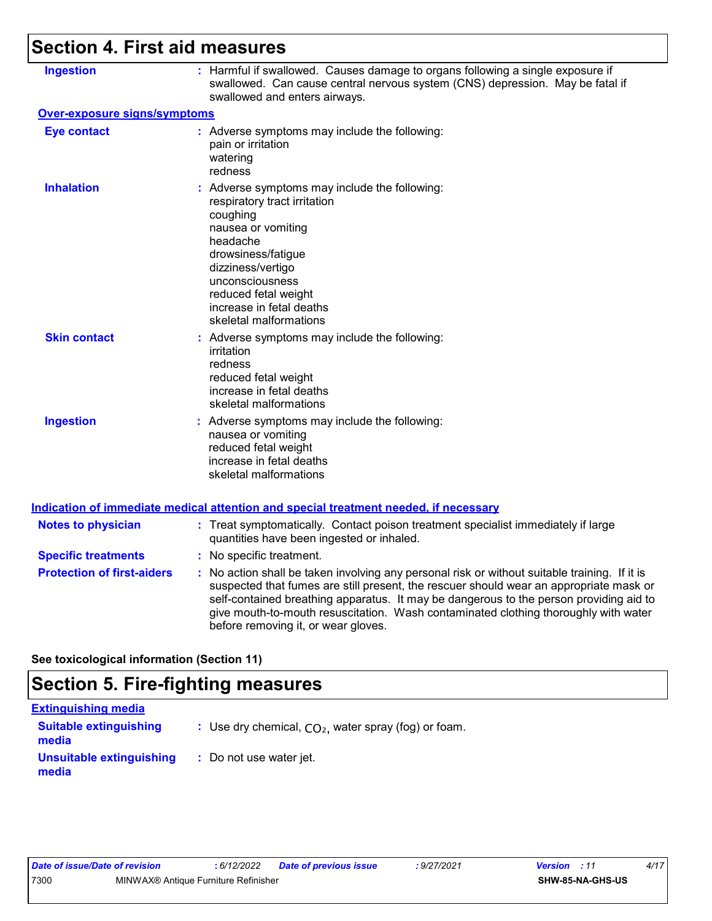| <b>Section 4. First aid measures</b> |                                                                                                                                                                                                                                                                                                                                                                                                                 |
|--------------------------------------|-----------------------------------------------------------------------------------------------------------------------------------------------------------------------------------------------------------------------------------------------------------------------------------------------------------------------------------------------------------------------------------------------------------------|
| <b>Ingestion</b>                     | : Harmful if swallowed. Causes damage to organs following a single exposure if<br>swallowed. Can cause central nervous system (CNS) depression. May be fatal if<br>swallowed and enters airways.                                                                                                                                                                                                                |
| Over-exposure signs/symptoms         |                                                                                                                                                                                                                                                                                                                                                                                                                 |
| <b>Eye contact</b>                   | : Adverse symptoms may include the following:<br>pain or irritation<br>watering<br>redness                                                                                                                                                                                                                                                                                                                      |
| <b>Inhalation</b>                    | : Adverse symptoms may include the following:<br>respiratory tract irritation<br>coughing<br>nausea or vomiting<br>headache<br>drowsiness/fatigue<br>dizziness/vertigo<br>unconsciousness<br>reduced fetal weight<br>increase in fetal deaths<br>skeletal malformations                                                                                                                                         |
| <b>Skin contact</b>                  | : Adverse symptoms may include the following:<br>irritation<br>redness<br>reduced fetal weight<br>increase in fetal deaths<br>skeletal malformations                                                                                                                                                                                                                                                            |
| <b>Ingestion</b>                     | : Adverse symptoms may include the following:<br>nausea or vomiting<br>reduced fetal weight<br>increase in fetal deaths<br>skeletal malformations                                                                                                                                                                                                                                                               |
|                                      | Indication of immediate medical attention and special treatment needed, if necessary                                                                                                                                                                                                                                                                                                                            |
| <b>Notes to physician</b>            | : Treat symptomatically. Contact poison treatment specialist immediately if large<br>quantities have been ingested or inhaled.                                                                                                                                                                                                                                                                                  |
| <b>Specific treatments</b>           | : No specific treatment.                                                                                                                                                                                                                                                                                                                                                                                        |
| <b>Protection of first-aiders</b>    | : No action shall be taken involving any personal risk or without suitable training. If it is<br>suspected that fumes are still present, the rescuer should wear an appropriate mask or<br>self-contained breathing apparatus. It may be dangerous to the person providing aid to<br>give mouth-to-mouth resuscitation. Wash contaminated clothing thoroughly with water<br>before removing it, or wear gloves. |

**See toxicological information (Section 11)**

## **Section 5. Fire-fighting measures**

| <b>Extinguishing media</b>             |                                                        |
|----------------------------------------|--------------------------------------------------------|
| <b>Suitable extinguishing</b><br>media | : Use dry chemical, $CO2$ , water spray (fog) or foam. |
| Unsuitable extinguishing<br>media      | : Do not use water jet.                                |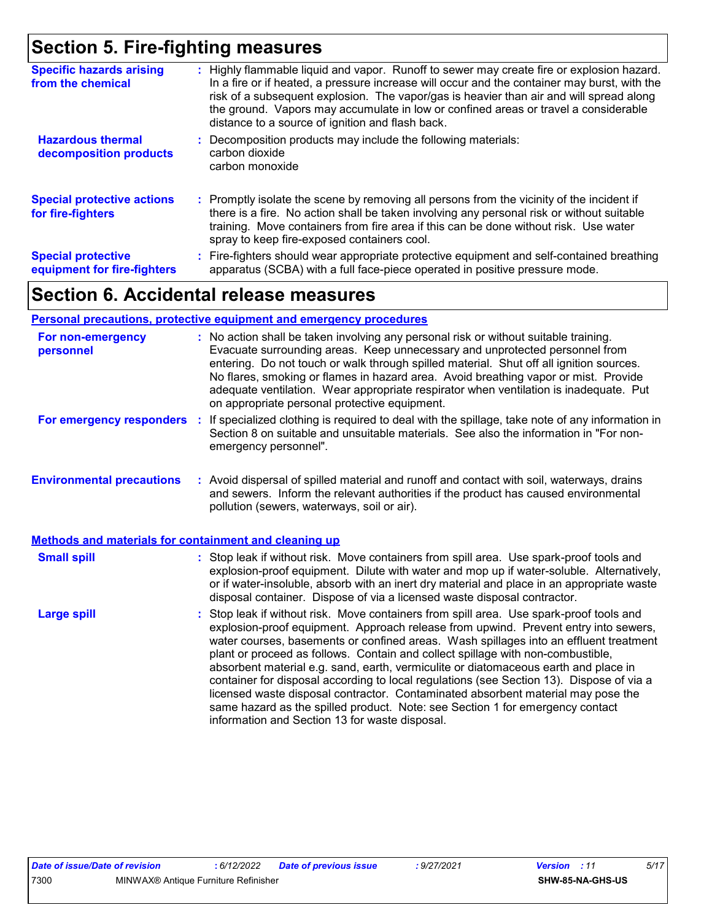### **Section 5. Fire-fighting measures**

| <b>Specific hazards arising</b><br>from the chemical     | : Highly flammable liquid and vapor. Runoff to sewer may create fire or explosion hazard.<br>In a fire or if heated, a pressure increase will occur and the container may burst, with the<br>risk of a subsequent explosion. The vapor/gas is heavier than air and will spread along<br>the ground. Vapors may accumulate in low or confined areas or travel a considerable<br>distance to a source of ignition and flash back. |
|----------------------------------------------------------|---------------------------------------------------------------------------------------------------------------------------------------------------------------------------------------------------------------------------------------------------------------------------------------------------------------------------------------------------------------------------------------------------------------------------------|
| <b>Hazardous thermal</b><br>decomposition products       | Decomposition products may include the following materials:<br>carbon dioxide<br>carbon monoxide                                                                                                                                                                                                                                                                                                                                |
| <b>Special protective actions</b><br>for fire-fighters   | : Promptly isolate the scene by removing all persons from the vicinity of the incident if<br>there is a fire. No action shall be taken involving any personal risk or without suitable<br>training. Move containers from fire area if this can be done without risk. Use water<br>spray to keep fire-exposed containers cool.                                                                                                   |
| <b>Special protective</b><br>equipment for fire-fighters | : Fire-fighters should wear appropriate protective equipment and self-contained breathing<br>apparatus (SCBA) with a full face-piece operated in positive pressure mode.                                                                                                                                                                                                                                                        |

### **Section 6. Accidental release measures**

#### **Environmental precautions Personal precautions, protective equipment and emergency procedures :** Avoid dispersal of spilled material and runoff and contact with soil, waterways, drains **:** No action shall be taken involving any personal risk or without suitable training. Evacuate surrounding areas. Keep unnecessary and unprotected personnel from entering. Do not touch or walk through spilled material. Shut off all ignition sources. No flares, smoking or flames in hazard area. Avoid breathing vapor or mist. Provide adequate ventilation. Wear appropriate respirator when ventilation is inadequate. Put on appropriate personal protective equipment. and sewers. Inform the relevant authorities if the product has caused environmental pollution (sewers, waterways, soil or air). **For non-emergency personnel For emergency responders :** If specialized clothing is required to deal with the spillage, take note of any information in Section 8 on suitable and unsuitable materials. See also the information in "For nonemergency personnel".

#### **Methods and materials for containment and cleaning up**

| <b>Small spill</b> | : Stop leak if without risk. Move containers from spill area. Use spark-proof tools and<br>explosion-proof equipment. Dilute with water and mop up if water-soluble. Alternatively,<br>or if water-insoluble, absorb with an inert dry material and place in an appropriate waste<br>disposal container. Dispose of via a licensed waste disposal contractor.                                                                                                                                                                                                                                                                                                                                                                                                        |
|--------------------|----------------------------------------------------------------------------------------------------------------------------------------------------------------------------------------------------------------------------------------------------------------------------------------------------------------------------------------------------------------------------------------------------------------------------------------------------------------------------------------------------------------------------------------------------------------------------------------------------------------------------------------------------------------------------------------------------------------------------------------------------------------------|
| <b>Large spill</b> | : Stop leak if without risk. Move containers from spill area. Use spark-proof tools and<br>explosion-proof equipment. Approach release from upwind. Prevent entry into sewers,<br>water courses, basements or confined areas. Wash spillages into an effluent treatment<br>plant or proceed as follows. Contain and collect spillage with non-combustible,<br>absorbent material e.g. sand, earth, vermiculite or diatomaceous earth and place in<br>container for disposal according to local regulations (see Section 13). Dispose of via a<br>licensed waste disposal contractor. Contaminated absorbent material may pose the<br>same hazard as the spilled product. Note: see Section 1 for emergency contact<br>information and Section 13 for waste disposal. |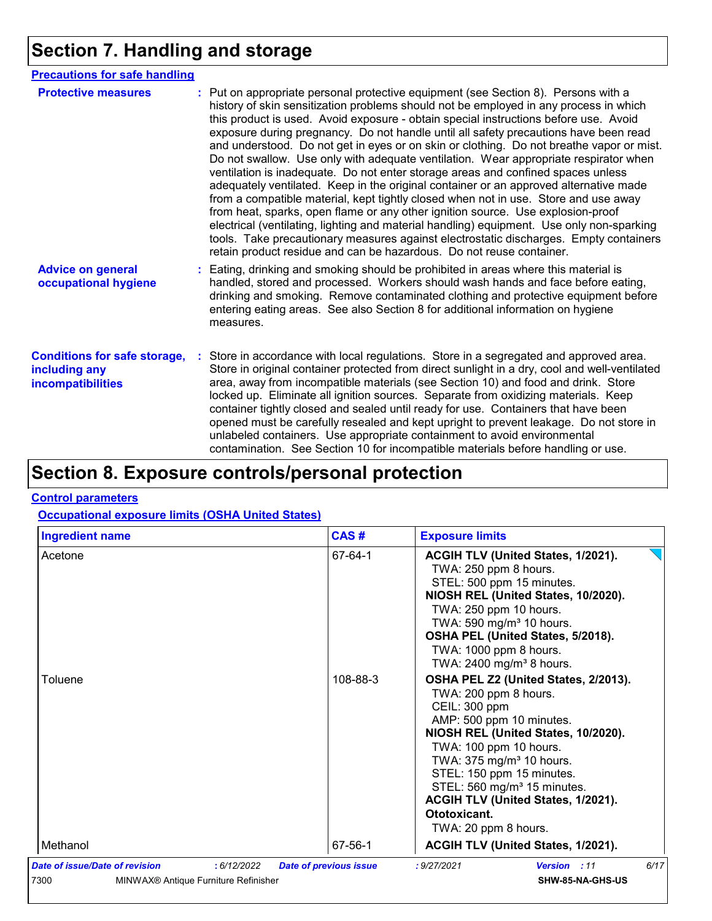# **Section 7. Handling and storage**

| <b>Precautions for safe handling</b>                                      |  |                                                                                                                                                                                                                                                                                                                                                                                                                                                                                                                                                                                                                                                                                                                                                                                                                                                                                                                                                                                                                                                                                                                                                                      |
|---------------------------------------------------------------------------|--|----------------------------------------------------------------------------------------------------------------------------------------------------------------------------------------------------------------------------------------------------------------------------------------------------------------------------------------------------------------------------------------------------------------------------------------------------------------------------------------------------------------------------------------------------------------------------------------------------------------------------------------------------------------------------------------------------------------------------------------------------------------------------------------------------------------------------------------------------------------------------------------------------------------------------------------------------------------------------------------------------------------------------------------------------------------------------------------------------------------------------------------------------------------------|
| <b>Protective measures</b>                                                |  | : Put on appropriate personal protective equipment (see Section 8). Persons with a<br>history of skin sensitization problems should not be employed in any process in which<br>this product is used. Avoid exposure - obtain special instructions before use. Avoid<br>exposure during pregnancy. Do not handle until all safety precautions have been read<br>and understood. Do not get in eyes or on skin or clothing. Do not breathe vapor or mist.<br>Do not swallow. Use only with adequate ventilation. Wear appropriate respirator when<br>ventilation is inadequate. Do not enter storage areas and confined spaces unless<br>adequately ventilated. Keep in the original container or an approved alternative made<br>from a compatible material, kept tightly closed when not in use. Store and use away<br>from heat, sparks, open flame or any other ignition source. Use explosion-proof<br>electrical (ventilating, lighting and material handling) equipment. Use only non-sparking<br>tools. Take precautionary measures against electrostatic discharges. Empty containers<br>retain product residue and can be hazardous. Do not reuse container. |
| <b>Advice on general</b><br>occupational hygiene                          |  | Eating, drinking and smoking should be prohibited in areas where this material is<br>handled, stored and processed. Workers should wash hands and face before eating,<br>drinking and smoking. Remove contaminated clothing and protective equipment before<br>entering eating areas. See also Section 8 for additional information on hygiene<br>measures.                                                                                                                                                                                                                                                                                                                                                                                                                                                                                                                                                                                                                                                                                                                                                                                                          |
| <b>Conditions for safe storage,</b><br>including any<br>incompatibilities |  | Store in accordance with local regulations. Store in a segregated and approved area.<br>Store in original container protected from direct sunlight in a dry, cool and well-ventilated<br>area, away from incompatible materials (see Section 10) and food and drink. Store<br>locked up. Eliminate all ignition sources. Separate from oxidizing materials. Keep<br>container tightly closed and sealed until ready for use. Containers that have been<br>opened must be carefully resealed and kept upright to prevent leakage. Do not store in<br>unlabeled containers. Use appropriate containment to avoid environmental<br>contamination. See Section 10 for incompatible materials before handling or use.                                                                                                                                                                                                                                                                                                                                                                                                                                                     |

# **Section 8. Exposure controls/personal protection**

#### **Control parameters**

**Occupational exposure limits (OSHA United States)**

| <b>Ingredient name</b>                                                                                           | CAS#                          | <b>Exposure limits</b>                                                                                                                                                                                                                                                                                                                                                    |      |
|------------------------------------------------------------------------------------------------------------------|-------------------------------|---------------------------------------------------------------------------------------------------------------------------------------------------------------------------------------------------------------------------------------------------------------------------------------------------------------------------------------------------------------------------|------|
| Acetone                                                                                                          | 67-64-1                       | ACGIH TLV (United States, 1/2021).<br>TWA: 250 ppm 8 hours.<br>STEL: 500 ppm 15 minutes.<br>NIOSH REL (United States, 10/2020).<br>TWA: 250 ppm 10 hours.<br>TWA: 590 mg/m <sup>3</sup> 10 hours.<br>OSHA PEL (United States, 5/2018).<br>TWA: 1000 ppm 8 hours.<br>TWA: 2400 mg/m <sup>3</sup> 8 hours.                                                                  |      |
| Toluene                                                                                                          | 108-88-3                      | OSHA PEL Z2 (United States, 2/2013).<br>TWA: 200 ppm 8 hours.<br>CEIL: 300 ppm<br>AMP: 500 ppm 10 minutes.<br>NIOSH REL (United States, 10/2020).<br>TWA: 100 ppm 10 hours.<br>TWA: 375 mg/m <sup>3</sup> 10 hours.<br>STEL: 150 ppm 15 minutes.<br>STEL: 560 mg/m <sup>3</sup> 15 minutes.<br>ACGIH TLV (United States, 1/2021).<br>Ototoxicant.<br>TWA: 20 ppm 8 hours. |      |
| Methanol                                                                                                         | 67-56-1                       | ACGIH TLV (United States, 1/2021).                                                                                                                                                                                                                                                                                                                                        |      |
| <b>Date of issue/Date of revision</b><br>: 6/12/2022<br>7300<br>MINWAX <sup>®</sup> Antique Furniture Refinisher | <b>Date of previous issue</b> | : 9/27/2021<br>Version : 11<br>SHW-85-NA-GHS-US                                                                                                                                                                                                                                                                                                                           | 6/17 |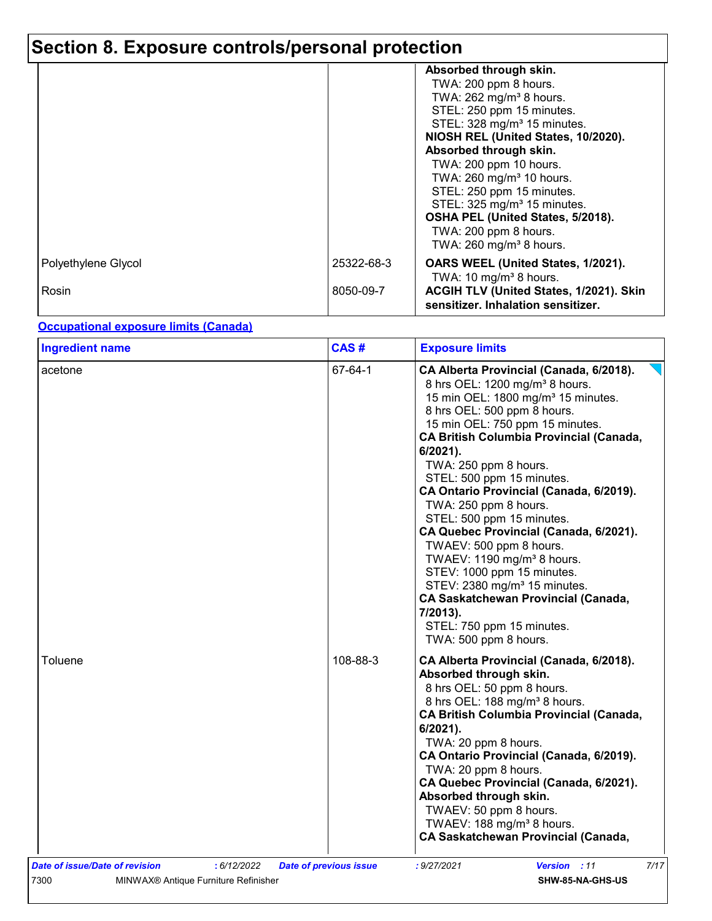# **Section 8. Exposure controls/personal protection**

|                     |            | Absorbed through skin.<br>TWA: 200 ppm 8 hours.<br>TWA: 262 mg/m <sup>3</sup> 8 hours.<br>STEL: 250 ppm 15 minutes.<br>STEL: 328 mg/m <sup>3</sup> 15 minutes.<br>NIOSH REL (United States, 10/2020).<br>Absorbed through skin.<br>TWA: 200 ppm 10 hours.<br>TWA: 260 mg/m <sup>3</sup> 10 hours.<br>STEL: 250 ppm 15 minutes.<br>STEL: 325 mg/m <sup>3</sup> 15 minutes.<br>OSHA PEL (United States, 5/2018).<br>TWA: 200 ppm 8 hours. |
|---------------------|------------|-----------------------------------------------------------------------------------------------------------------------------------------------------------------------------------------------------------------------------------------------------------------------------------------------------------------------------------------------------------------------------------------------------------------------------------------|
|                     |            | TWA: 260 mg/m <sup>3</sup> 8 hours.                                                                                                                                                                                                                                                                                                                                                                                                     |
| Polyethylene Glycol | 25322-68-3 | OARS WEEL (United States, 1/2021).<br>TWA: 10 mg/m <sup>3</sup> 8 hours.                                                                                                                                                                                                                                                                                                                                                                |
| Rosin               | 8050-09-7  | ACGIH TLV (United States, 1/2021). Skin<br>sensitizer. Inhalation sensitizer.                                                                                                                                                                                                                                                                                                                                                           |

#### **Occupational exposure limits (Canada)**

| <b>Ingredient name</b>                               | CAS#                          | <b>Exposure limits</b>                                                                                                                                                                                                                                                                                                                                                                                                                                                                                                                                                                                                                                                                                                                  |
|------------------------------------------------------|-------------------------------|-----------------------------------------------------------------------------------------------------------------------------------------------------------------------------------------------------------------------------------------------------------------------------------------------------------------------------------------------------------------------------------------------------------------------------------------------------------------------------------------------------------------------------------------------------------------------------------------------------------------------------------------------------------------------------------------------------------------------------------------|
| acetone                                              | 67-64-1                       | CA Alberta Provincial (Canada, 6/2018).<br>8 hrs OEL: 1200 mg/m <sup>3</sup> 8 hours.<br>15 min OEL: 1800 mg/m <sup>3</sup> 15 minutes.<br>8 hrs OEL: 500 ppm 8 hours.<br>15 min OEL: 750 ppm 15 minutes.<br><b>CA British Columbia Provincial (Canada,</b><br>6/2021).<br>TWA: 250 ppm 8 hours.<br>STEL: 500 ppm 15 minutes.<br>CA Ontario Provincial (Canada, 6/2019).<br>TWA: 250 ppm 8 hours.<br>STEL: 500 ppm 15 minutes.<br>CA Quebec Provincial (Canada, 6/2021).<br>TWAEV: 500 ppm 8 hours.<br>TWAEV: 1190 mg/m <sup>3</sup> 8 hours.<br>STEV: 1000 ppm 15 minutes.<br>STEV: 2380 mg/m <sup>3</sup> 15 minutes.<br><b>CA Saskatchewan Provincial (Canada,</b><br>7/2013).<br>STEL: 750 ppm 15 minutes.<br>TWA: 500 ppm 8 hours. |
| Toluene                                              | 108-88-3                      | CA Alberta Provincial (Canada, 6/2018).<br>Absorbed through skin.<br>8 hrs OEL: 50 ppm 8 hours.<br>8 hrs OEL: 188 mg/m <sup>3</sup> 8 hours.<br><b>CA British Columbia Provincial (Canada,</b><br>$6/2021$ ).<br>TWA: 20 ppm 8 hours.<br>CA Ontario Provincial (Canada, 6/2019).<br>TWA: 20 ppm 8 hours.<br>CA Quebec Provincial (Canada, 6/2021).<br>Absorbed through skin.<br>TWAEV: 50 ppm 8 hours.<br>TWAEV: 188 mg/m <sup>3</sup> 8 hours.<br>CA Saskatchewan Provincial (Canada,                                                                                                                                                                                                                                                  |
| : 6/12/2022<br><b>Date of issue/Date of revision</b> | <b>Date of previous issue</b> | 7/17<br>: 9/27/2021<br><b>Version</b> : 11                                                                                                                                                                                                                                                                                                                                                                                                                                                                                                                                                                                                                                                                                              |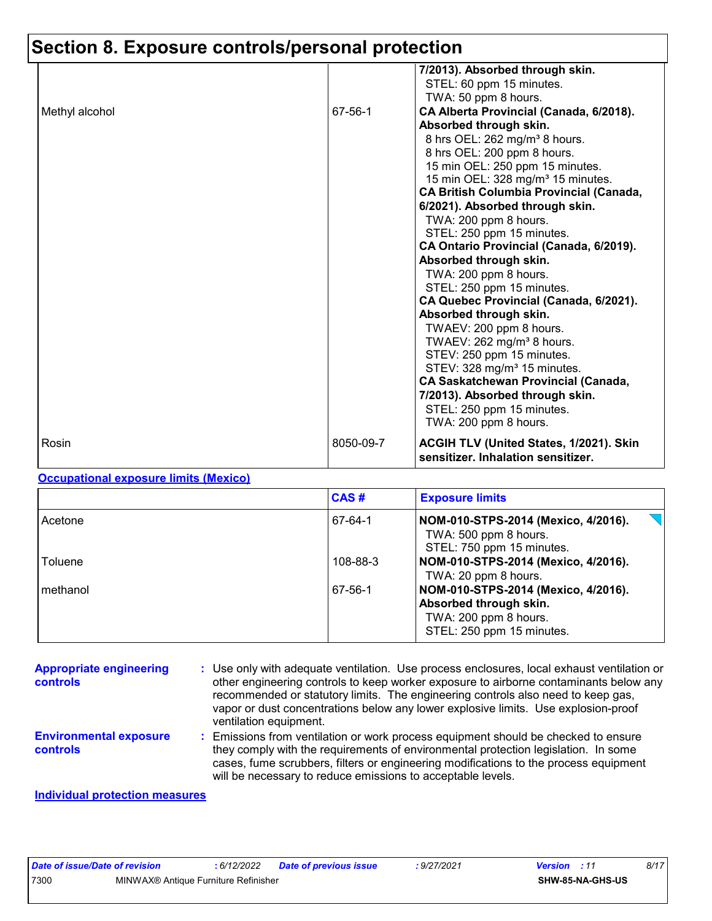# **Section 8. Exposure controls/personal protection**

|                |           | 7/2013). Absorbed through skin.<br>STEL: 60 ppm 15 minutes.                   |
|----------------|-----------|-------------------------------------------------------------------------------|
|                |           | TWA: 50 ppm 8 hours.                                                          |
| Methyl alcohol | 67-56-1   | CA Alberta Provincial (Canada, 6/2018).                                       |
|                |           | Absorbed through skin.                                                        |
|                |           | 8 hrs OEL: 262 mg/m <sup>3</sup> 8 hours.                                     |
|                |           | 8 hrs OEL: 200 ppm 8 hours.                                                   |
|                |           | 15 min OEL: 250 ppm 15 minutes.                                               |
|                |           | 15 min OEL: 328 mg/m <sup>3</sup> 15 minutes.                                 |
|                |           | <b>CA British Columbia Provincial (Canada,</b>                                |
|                |           | 6/2021). Absorbed through skin.                                               |
|                |           | TWA: 200 ppm 8 hours.                                                         |
|                |           | STEL: 250 ppm 15 minutes.                                                     |
|                |           | CA Ontario Provincial (Canada, 6/2019).                                       |
|                |           | Absorbed through skin.                                                        |
|                |           | TWA: 200 ppm 8 hours.                                                         |
|                |           | STEL: 250 ppm 15 minutes.                                                     |
|                |           | CA Quebec Provincial (Canada, 6/2021).                                        |
|                |           | Absorbed through skin.                                                        |
|                |           | TWAEV: 200 ppm 8 hours.                                                       |
|                |           | TWAEV: $262$ mg/m <sup>3</sup> 8 hours.                                       |
|                |           | STEV: 250 ppm 15 minutes.                                                     |
|                |           | STEV: 328 mg/m <sup>3</sup> 15 minutes.                                       |
|                |           | CA Saskatchewan Provincial (Canada,                                           |
|                |           | 7/2013). Absorbed through skin.                                               |
|                |           | STEL: 250 ppm 15 minutes.                                                     |
|                |           | TWA: 200 ppm 8 hours.                                                         |
| Rosin          | 8050-09-7 | ACGIH TLV (United States, 1/2021). Skin<br>sensitizer. Inhalation sensitizer. |

#### **Occupational exposure limits (Mexico)**

|          | CAS#     | <b>Exposure limits</b>                                                                                              |
|----------|----------|---------------------------------------------------------------------------------------------------------------------|
| Acetone  | 67-64-1  | NOM-010-STPS-2014 (Mexico, 4/2016).<br>TWA: 500 ppm 8 hours.<br>STEL: 750 ppm 15 minutes.                           |
| Toluene  | 108-88-3 | NOM-010-STPS-2014 (Mexico, 4/2016).<br>TWA: 20 ppm 8 hours.                                                         |
| methanol | 67-56-1  | NOM-010-STPS-2014 (Mexico, 4/2016).<br>Absorbed through skin.<br>TWA: 200 ppm 8 hours.<br>STEL: 250 ppm 15 minutes. |

| <b>Appropriate engineering</b><br>controls | : Use only with adequate ventilation. Use process enclosures, local exhaust ventilation or<br>other engineering controls to keep worker exposure to airborne contaminants below any<br>recommended or statutory limits. The engineering controls also need to keep gas,<br>vapor or dust concentrations below any lower explosive limits. Use explosion-proof<br>ventilation equipment. |
|--------------------------------------------|-----------------------------------------------------------------------------------------------------------------------------------------------------------------------------------------------------------------------------------------------------------------------------------------------------------------------------------------------------------------------------------------|
| <b>Environmental exposure</b><br>controls  | : Emissions from ventilation or work process equipment should be checked to ensure<br>they comply with the requirements of environmental protection legislation. In some<br>cases, fume scrubbers, filters or engineering modifications to the process equipment<br>will be necessary to reduce emissions to acceptable levels.                                                         |
| <b>Individual protection measures</b>      |                                                                                                                                                                                                                                                                                                                                                                                         |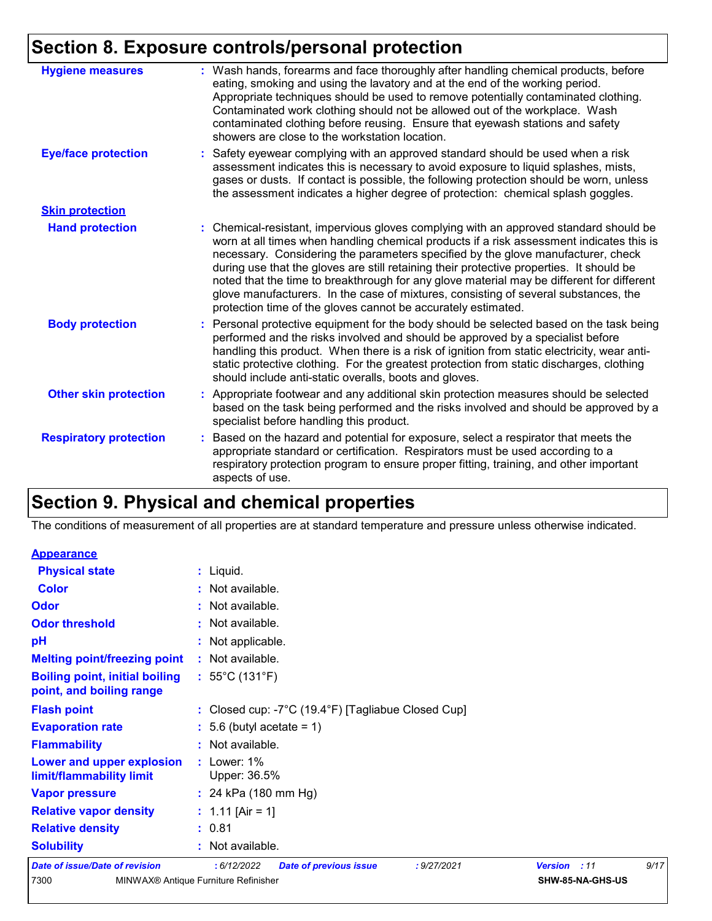# **Section 8. Exposure controls/personal protection**

| <b>Hygiene measures</b>       | : Wash hands, forearms and face thoroughly after handling chemical products, before<br>eating, smoking and using the lavatory and at the end of the working period.<br>Appropriate techniques should be used to remove potentially contaminated clothing.<br>Contaminated work clothing should not be allowed out of the workplace. Wash<br>contaminated clothing before reusing. Ensure that eyewash stations and safety<br>showers are close to the workstation location.                                                                                                                                            |
|-------------------------------|------------------------------------------------------------------------------------------------------------------------------------------------------------------------------------------------------------------------------------------------------------------------------------------------------------------------------------------------------------------------------------------------------------------------------------------------------------------------------------------------------------------------------------------------------------------------------------------------------------------------|
| <b>Eye/face protection</b>    | : Safety eyewear complying with an approved standard should be used when a risk<br>assessment indicates this is necessary to avoid exposure to liquid splashes, mists,<br>gases or dusts. If contact is possible, the following protection should be worn, unless<br>the assessment indicates a higher degree of protection: chemical splash goggles.                                                                                                                                                                                                                                                                  |
| <b>Skin protection</b>        |                                                                                                                                                                                                                                                                                                                                                                                                                                                                                                                                                                                                                        |
| <b>Hand protection</b>        | : Chemical-resistant, impervious gloves complying with an approved standard should be<br>worn at all times when handling chemical products if a risk assessment indicates this is<br>necessary. Considering the parameters specified by the glove manufacturer, check<br>during use that the gloves are still retaining their protective properties. It should be<br>noted that the time to breakthrough for any glove material may be different for different<br>glove manufacturers. In the case of mixtures, consisting of several substances, the<br>protection time of the gloves cannot be accurately estimated. |
| <b>Body protection</b>        | : Personal protective equipment for the body should be selected based on the task being<br>performed and the risks involved and should be approved by a specialist before<br>handling this product. When there is a risk of ignition from static electricity, wear anti-<br>static protective clothing. For the greatest protection from static discharges, clothing<br>should include anti-static overalls, boots and gloves.                                                                                                                                                                                         |
| <b>Other skin protection</b>  | : Appropriate footwear and any additional skin protection measures should be selected<br>based on the task being performed and the risks involved and should be approved by a<br>specialist before handling this product.                                                                                                                                                                                                                                                                                                                                                                                              |
| <b>Respiratory protection</b> | : Based on the hazard and potential for exposure, select a respirator that meets the<br>appropriate standard or certification. Respirators must be used according to a<br>respiratory protection program to ensure proper fitting, training, and other important<br>aspects of use.                                                                                                                                                                                                                                                                                                                                    |

# **Section 9. Physical and chemical properties**

The conditions of measurement of all properties are at standard temperature and pressure unless otherwise indicated.

| <b>Appearance</b>                                                 |                                                                                     |
|-------------------------------------------------------------------|-------------------------------------------------------------------------------------|
| <b>Physical state</b>                                             | : Liquid.                                                                           |
| <b>Color</b>                                                      | : Not available.                                                                    |
| Odor                                                              | : Not available.                                                                    |
| <b>Odor threshold</b>                                             | : Not available.                                                                    |
| pH                                                                | : Not applicable.                                                                   |
| <b>Melting point/freezing point</b>                               | : Not available.                                                                    |
| <b>Boiling point, initial boiling</b><br>point, and boiling range | : $55^{\circ}$ C (131 $^{\circ}$ F)                                                 |
| <b>Flash point</b>                                                | : Closed cup: -7 $^{\circ}$ C (19.4 $^{\circ}$ F) [Tagliabue Closed Cup]            |
| <b>Evaporation rate</b>                                           | $: 5.6$ (butyl acetate = 1)                                                         |
| <b>Flammability</b>                                               | : Not available.                                                                    |
| Lower and upper explosion<br>limit/flammability limit             | $:$ Lower: 1%<br>Upper: 36.5%                                                       |
| <b>Vapor pressure</b>                                             | : 24 kPa $(180 \text{ mm Hg})$                                                      |
| <b>Relative vapor density</b>                                     | : $1.11$ [Air = 1]                                                                  |
| <b>Relative density</b>                                           | : 0.81                                                                              |
| <b>Solubility</b>                                                 | : Not available.                                                                    |
| <b>Date of issue/Date of revision</b>                             | 9/17<br>: 6/12/2022<br>: 9/27/2021<br>Version : 11<br><b>Date of previous issue</b> |
| 7300                                                              | MINWAX® Antique Furniture Refinisher<br>SHW-85-NA-GHS-US                            |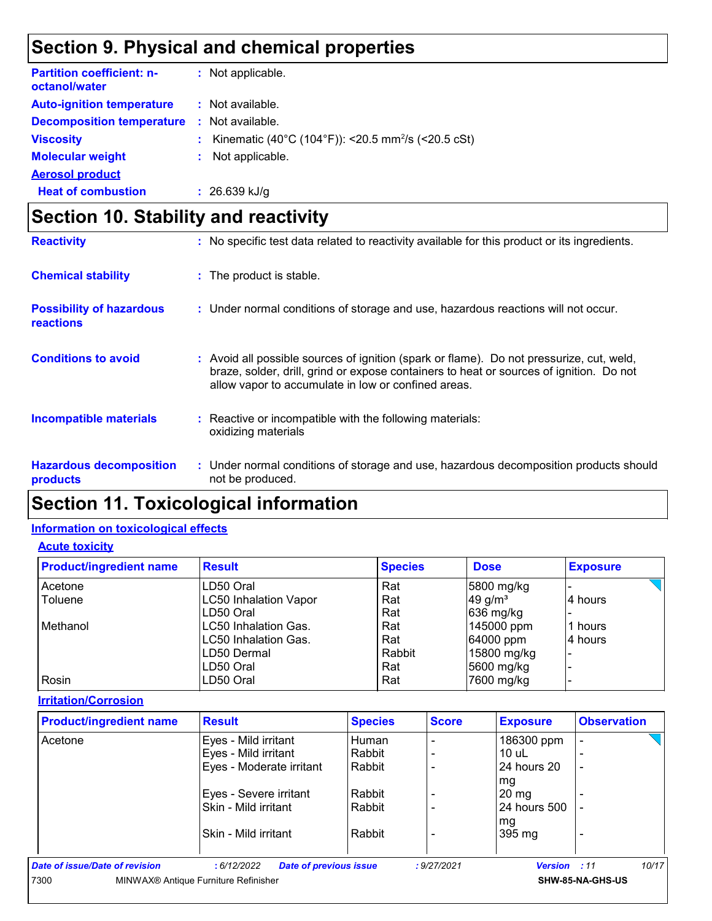## **Section 9. Physical and chemical properties**

| <b>Partition coefficient: n-</b><br>octanol/water |    | : Not applicable.                                                |
|---------------------------------------------------|----|------------------------------------------------------------------|
| <b>Auto-ignition temperature</b>                  |    | : Not available.                                                 |
| <b>Decomposition temperature</b>                  |    | $\therefore$ Not available.                                      |
| <b>Viscosity</b>                                  |    | : Kinematic (40°C (104°F)): <20.5 mm <sup>2</sup> /s (<20.5 cSt) |
| <b>Molecular weight</b>                           | ÷. | Not applicable.                                                  |
| <b>Aerosol product</b>                            |    |                                                                  |
| <b>Heat of combustion</b>                         |    | $: 26.639$ kJ/g                                                  |

# **Section 10. Stability and reactivity**

| <b>Reactivity</b>                            | : No specific test data related to reactivity available for this product or its ingredients.                                                                                                                                               |
|----------------------------------------------|--------------------------------------------------------------------------------------------------------------------------------------------------------------------------------------------------------------------------------------------|
| <b>Chemical stability</b>                    | : The product is stable.                                                                                                                                                                                                                   |
| <b>Possibility of hazardous</b><br>reactions | : Under normal conditions of storage and use, hazardous reactions will not occur.                                                                                                                                                          |
| <b>Conditions to avoid</b>                   | : Avoid all possible sources of ignition (spark or flame). Do not pressurize, cut, weld,<br>braze, solder, drill, grind or expose containers to heat or sources of ignition. Do not<br>allow vapor to accumulate in low or confined areas. |
| <b>Incompatible materials</b>                | Reactive or incompatible with the following materials:<br>oxidizing materials                                                                                                                                                              |
| <b>Hazardous decomposition</b><br>products   | : Under normal conditions of storage and use, hazardous decomposition products should<br>not be produced.                                                                                                                                  |

# **Section 11. Toxicological information**

#### **Information on toxicological effects**

#### **Acute toxicity**

| <b>Product/ingredient name</b> | <b>Result</b>                | <b>Species</b> |             | <b>Exposure</b> |  |
|--------------------------------|------------------------------|----------------|-------------|-----------------|--|
| Acetone                        | LD50 Oral                    | Rat            | 5800 mg/kg  |                 |  |
| Toluene                        | <b>LC50 Inhalation Vapor</b> | Rat            | 49 g/ $m3$  | 4 hours         |  |
|                                | LD50 Oral                    | Rat            | 636 mg/kg   |                 |  |
| Methanol                       | <b>ILC50 Inhalation Gas.</b> | Rat            | 145000 ppm  | 1 hours         |  |
|                                | LC50 Inhalation Gas.         | Rat            | 64000 ppm   | 4 hours         |  |
|                                | LD50 Dermal                  | Rabbit         | 15800 mg/kg |                 |  |
|                                | LD50 Oral                    | Rat            | 5600 mg/kg  |                 |  |
| Rosin                          | LD50 Oral                    | Rat            | 7600 mg/kg  |                 |  |

#### **Irritation/Corrosion**

| <b>Product/ingredient name</b> | <b>Result</b>                               | <b>Species</b> | <b>Score</b> | <b>Exposure</b>     | <b>Observation</b>       |
|--------------------------------|---------------------------------------------|----------------|--------------|---------------------|--------------------------|
| Acetone                        | Eyes - Mild irritant                        | Human          |              | 186300 ppm          |                          |
|                                | Eyes - Mild irritant                        | Rabbit         |              | $10$ uL             |                          |
|                                | Eyes - Moderate irritant                    | Rabbit         |              | 24 hours 20         | $\overline{\phantom{0}}$ |
|                                |                                             |                |              | mg                  |                          |
|                                | Eyes - Severe irritant                      | Rabbit         |              | $20 \, mg$          |                          |
|                                | Skin - Mild irritant                        | Rabbit         |              | 24 hours 500        |                          |
|                                |                                             |                |              | mg                  |                          |
|                                | Skin - Mild irritant                        | Rabbit         |              | 395 mg              |                          |
| Date of issue/Date of revision | <b>Date of previous issue</b><br>:6/12/2022 |                | : 9/27/2021  | <b>Version</b> : 11 | 10/17                    |
| 7300                           | MINWAX® Antique Furniture Refinisher        |                |              |                     | SHW-85-NA-GHS-US         |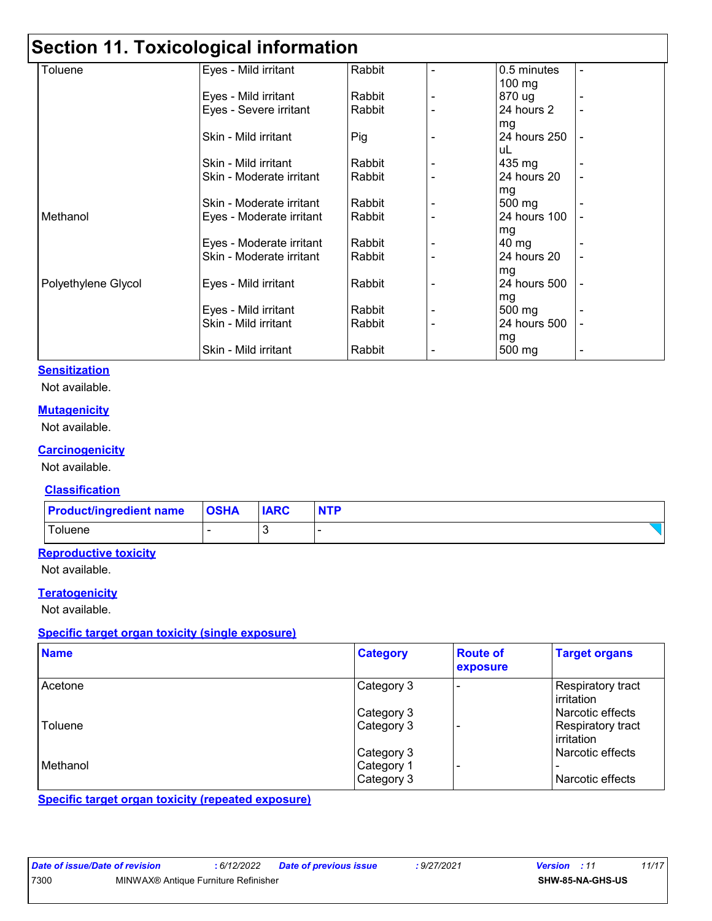# **Section 11. Toxicological information**

| Toluene             | Eyes - Mild irritant     | Rabbit | 0.5 minutes      | ۰              |
|---------------------|--------------------------|--------|------------------|----------------|
|                     |                          |        | $100 \text{ mg}$ |                |
|                     | Eyes - Mild irritant     | Rabbit | 870 ug           |                |
|                     | Eyes - Severe irritant   | Rabbit | 24 hours 2       | ۰              |
|                     |                          |        | mg               |                |
|                     | Skin - Mild irritant     | Pig    | 24 hours 250     |                |
|                     |                          |        | uL               |                |
|                     | Skin - Mild irritant     | Rabbit | 435 mg           |                |
|                     | Skin - Moderate irritant | Rabbit | 24 hours 20      | $\blacksquare$ |
|                     |                          |        | mg               |                |
|                     | Skin - Moderate irritant | Rabbit | 500 mg           |                |
| Methanol            | Eyes - Moderate irritant | Rabbit | 24 hours 100     |                |
|                     |                          |        | mg               |                |
|                     | Eyes - Moderate irritant | Rabbit | $40 \text{ mg}$  |                |
|                     | Skin - Moderate irritant | Rabbit | 24 hours 20      |                |
|                     |                          |        | mg               |                |
| Polyethylene Glycol | Eyes - Mild irritant     | Rabbit | 24 hours 500     | $\blacksquare$ |
|                     |                          |        | mg               |                |
|                     | Eyes - Mild irritant     | Rabbit | 500 mg           |                |
|                     | Skin - Mild irritant     | Rabbit | 24 hours 500     |                |
|                     |                          |        | mg               |                |
|                     | Skin - Mild irritant     | Rabbit | 500 mg           | -              |

#### **Sensitization**

Not available.

#### **Mutagenicity**

Not available.

#### **Carcinogenicity**

Not available.

#### **Classification**

| <b>Product/ingredient name OSHA</b> | <b>IARC</b> | <b>NTP</b> |
|-------------------------------------|-------------|------------|
| Toluene                             |             |            |

#### **Reproductive toxicity**

Not available.

#### **Teratogenicity**

Not available.

#### **Specific target organ toxicity (single exposure)**

| <b>Name</b> | <b>Category</b> | <b>Route of</b><br>exposure | <b>Target organs</b>              |
|-------------|-----------------|-----------------------------|-----------------------------------|
| Acetone     | Category 3      |                             | Respiratory tract<br>irritation   |
|             | Category 3      |                             | Narcotic effects                  |
| Toluene     | Category 3      |                             | Respiratory tract<br>l irritation |
|             | Category 3      |                             | Narcotic effects                  |
| Methanol    | Category 1      |                             |                                   |
|             | Category 3      |                             | Narcotic effects                  |

**Specific target organ toxicity (repeated exposure)**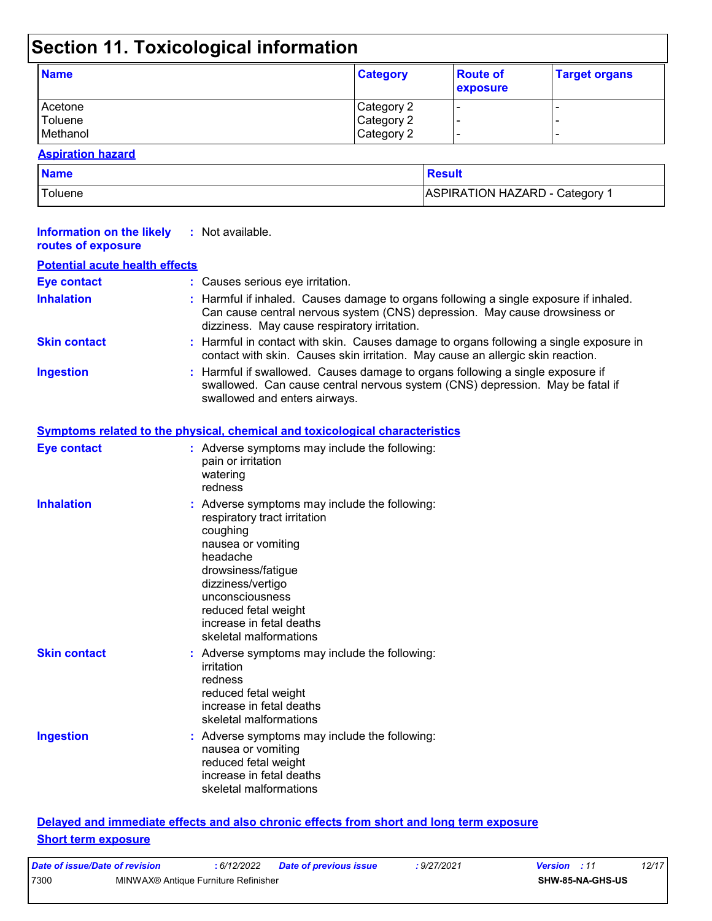# **Section 11. Toxicological information**

| <b>Name</b> | <b>Category</b> | <b>Route of</b><br>exposure | <b>Target organs</b> |
|-------------|-----------------|-----------------------------|----------------------|
| Acetone     | Category 2      |                             | -                    |
| Toluene     | Category 2      |                             | -                    |
| Methanol    | Category 2      |                             | -                    |

#### **Aspiration hazard**

| <b>Name</b> | Result                       |
|-------------|------------------------------|
| Toluene     | ASPIRATION HAZARD - Category |

| <b>Information on the likely</b><br>routes of exposure | : Not available.                                                                                                                                                                                                                                                        |
|--------------------------------------------------------|-------------------------------------------------------------------------------------------------------------------------------------------------------------------------------------------------------------------------------------------------------------------------|
| <b>Potential acute health effects</b>                  |                                                                                                                                                                                                                                                                         |
| <b>Eye contact</b>                                     | : Causes serious eye irritation.                                                                                                                                                                                                                                        |
| <b>Inhalation</b>                                      | : Harmful if inhaled. Causes damage to organs following a single exposure if inhaled.<br>Can cause central nervous system (CNS) depression. May cause drowsiness or<br>dizziness. May cause respiratory irritation.                                                     |
| <b>Skin contact</b>                                    | : Harmful in contact with skin. Causes damage to organs following a single exposure in<br>contact with skin. Causes skin irritation. May cause an allergic skin reaction.                                                                                               |
| <b>Ingestion</b>                                       | : Harmful if swallowed. Causes damage to organs following a single exposure if<br>swallowed. Can cause central nervous system (CNS) depression. May be fatal if<br>swallowed and enters airways.                                                                        |
|                                                        | Symptoms related to the physical, chemical and toxicological characteristics                                                                                                                                                                                            |
| <b>Eye contact</b>                                     | : Adverse symptoms may include the following:<br>pain or irritation<br>watering<br>redness                                                                                                                                                                              |
| <b>Inhalation</b>                                      | : Adverse symptoms may include the following:<br>respiratory tract irritation<br>coughing<br>nausea or vomiting<br>headache<br>drowsiness/fatigue<br>dizziness/vertigo<br>unconsciousness<br>reduced fetal weight<br>increase in fetal deaths<br>skeletal malformations |
| <b>Skin contact</b>                                    | : Adverse symptoms may include the following:<br>irritation<br>redness<br>reduced fetal weight<br>increase in fetal deaths<br>skeletal malformations                                                                                                                    |
| <b>Ingestion</b>                                       | : Adverse symptoms may include the following:<br>nausea or vomiting<br>reduced fetal weight<br>increase in fetal deaths<br>skeletal malformations                                                                                                                       |
|                                                        | Delayed and immediate effects and also chronic effects from short and long term exposure                                                                                                                                                                                |

#### **Short term exposure**

| Date of issue/Date of revision |                                      | 6/12/2022 | Date of previous issue | : 9/27/2021 | <b>Version</b> : 11 |                  | 12/17 |  |
|--------------------------------|--------------------------------------|-----------|------------------------|-------------|---------------------|------------------|-------|--|
| 7300                           | MINWAX® Antique Furniture Refinisher |           |                        |             |                     | SHW-85-NA-GHS-US |       |  |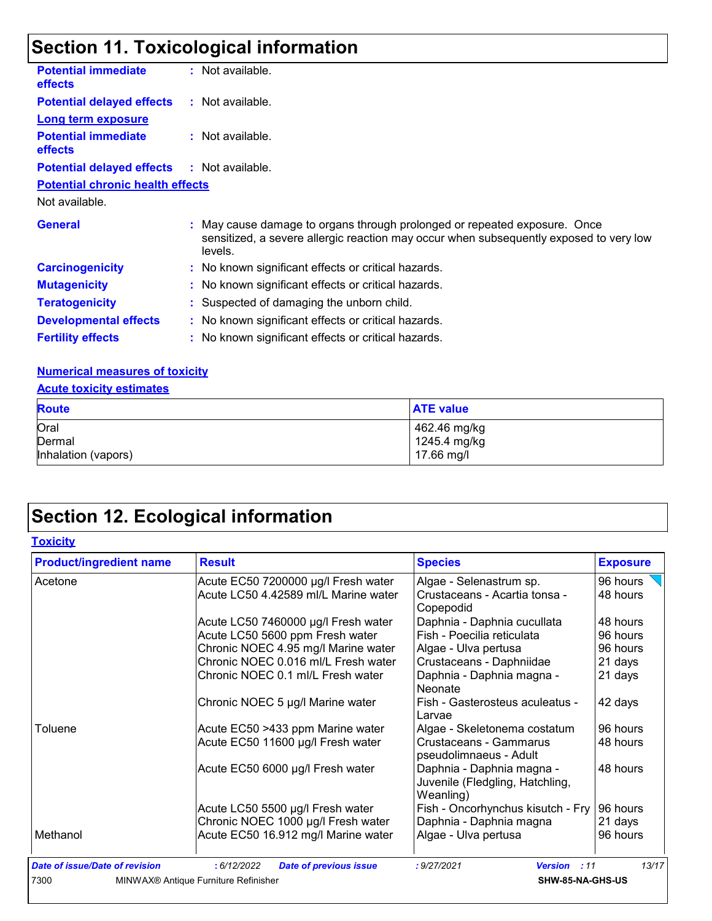# **Section 11. Toxicological information**

| <b>Potential immediate</b><br><b>effects</b> | : Not available.                                                                                                                                                               |
|----------------------------------------------|--------------------------------------------------------------------------------------------------------------------------------------------------------------------------------|
| <b>Potential delayed effects</b>             | : Not available.                                                                                                                                                               |
| <b>Long term exposure</b>                    |                                                                                                                                                                                |
| <b>Potential immediate</b><br><b>effects</b> | : Not available.                                                                                                                                                               |
| <b>Potential delayed effects</b>             | : Not available.                                                                                                                                                               |
| <b>Potential chronic health effects</b>      |                                                                                                                                                                                |
| Not available.                               |                                                                                                                                                                                |
| <b>General</b>                               | : May cause damage to organs through prolonged or repeated exposure. Once<br>sensitized, a severe allergic reaction may occur when subsequently exposed to very low<br>levels. |
| <b>Carcinogenicity</b>                       | : No known significant effects or critical hazards.                                                                                                                            |
| <b>Mutagenicity</b>                          | : No known significant effects or critical hazards.                                                                                                                            |
| <b>Teratogenicity</b>                        | : Suspected of damaging the unborn child.                                                                                                                                      |
| <b>Developmental effects</b>                 | : No known significant effects or critical hazards.                                                                                                                            |
| <b>Fertility effects</b>                     | : No known significant effects or critical hazards.                                                                                                                            |

#### **Numerical measures of toxicity**

#### **Acute toxicity estimates**

| <b>Route</b>        | <b>ATE value</b> |
|---------------------|------------------|
| Oral                | 462.46 mg/kg     |
| Dermal              | 1245.4 mg/kg     |
| Inhalation (vapors) | 17.66 mg/l       |

# **Section 12. Ecological information**

#### **Toxicity**

| <b>Product/ingredient name</b>        | <b>Result</b>                                    | <b>Species</b>                                                            | <b>Exposure</b> |
|---------------------------------------|--------------------------------------------------|---------------------------------------------------------------------------|-----------------|
| Acetone                               | Acute EC50 7200000 µg/l Fresh water              | Algae - Selenastrum sp.                                                   | 96 hours        |
|                                       | Acute LC50 4.42589 ml/L Marine water             | Crustaceans - Acartia tonsa -<br>Copepodid                                | 48 hours        |
|                                       | Acute LC50 7460000 µg/l Fresh water              | Daphnia - Daphnia cucullata                                               | 48 hours        |
|                                       | Acute LC50 5600 ppm Fresh water                  | Fish - Poecilia reticulata                                                | 96 hours        |
|                                       | Chronic NOEC 4.95 mg/l Marine water              | Algae - Ulva pertusa                                                      | 96 hours        |
|                                       | Chronic NOEC 0.016 ml/L Fresh water              | Crustaceans - Daphniidae                                                  | 21 days         |
|                                       | Chronic NOEC 0.1 ml/L Fresh water                | Daphnia - Daphnia magna -<br>Neonate                                      | 21 days         |
|                                       | Chronic NOEC 5 µg/l Marine water                 | Fish - Gasterosteus aculeatus -<br>Larvae                                 | 42 days         |
| Toluene                               | Acute EC50 >433 ppm Marine water                 | Algae - Skeletonema costatum                                              | 96 hours        |
|                                       | Acute EC50 11600 µg/l Fresh water                | Crustaceans - Gammarus<br>pseudolimnaeus - Adult                          | 48 hours        |
|                                       | Acute EC50 6000 µg/l Fresh water                 | Daphnia - Daphnia magna -<br>Juvenile (Fledgling, Hatchling,<br>Weanling) | 48 hours        |
|                                       | Acute LC50 5500 µg/l Fresh water                 | Fish - Oncorhynchus kisutch - Fry                                         | 96 hours        |
|                                       | Chronic NOEC 1000 µg/l Fresh water               | Daphnia - Daphnia magna                                                   | 21 days         |
| Methanol                              | Acute EC50 16.912 mg/l Marine water              | Algae - Ulva pertusa                                                      | 96 hours        |
| <b>Date of issue/Date of revision</b> | :6/12/2022<br><b>Date of previous issue</b>      | : 9/27/2021<br><b>Version</b><br>: 11                                     | 13/17           |
| 7300                                  | MINWAX <sup>®</sup> Antique Furniture Refinisher | SHW-85-NA-GHS-US                                                          |                 |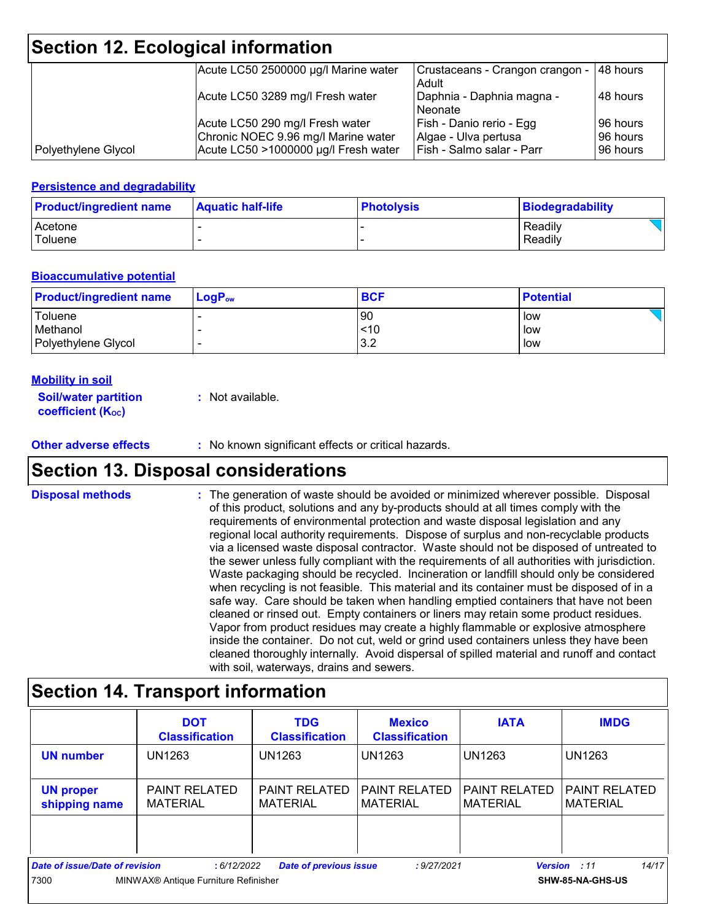## **Section 12. Ecological information**

|                     | Acute LC50 2500000 µg/l Marine water                                   | Crustaceans - Crangon crangon - 148 hours<br>Adult |                      |
|---------------------|------------------------------------------------------------------------|----------------------------------------------------|----------------------|
|                     | Acute LC50 3289 mg/l Fresh water                                       | Daphnia - Daphnia magna -<br>Neonate               | 148 hours            |
|                     | Acute LC50 290 mg/l Fresh water<br>Chronic NOEC 9.96 mg/l Marine water | Fish - Danio rerio - Egg<br>Algae - Ulva pertusa   | 96 hours<br>96 hours |
| Polyethylene Glycol | Acute LC50 >1000000 µg/l Fresh water                                   | Fish - Salmo salar - Parr                          | 196 hours            |

#### **Persistence and degradability**

| <b>Product/ingredient name</b> | <b>Aquatic half-life</b> | <b>Photolysis</b> | Biodegradability |
|--------------------------------|--------------------------|-------------------|------------------|
| Acetone                        |                          |                   | Readily          |
| Toluene                        |                          |                   | Readily          |

#### **Bioaccumulative potential**

| <b>Product/ingredient name</b> | $LogP_{ow}$              | <b>BCF</b> | <b>Potential</b> |
|--------------------------------|--------------------------|------------|------------------|
| Toluene                        |                          | '90        | low              |
| Methanol                       |                          | ~10        | low              |
| Polyethylene Glycol            | $\overline{\phantom{0}}$ | 3.2        | low              |

#### **Mobility in soil**

| <b>Soil/water partition</b> | : Not available. |
|-----------------------------|------------------|
| <b>coefficient (Koc)</b>    |                  |

**Other adverse effects** : No known significant effects or critical hazards.

### **Section 13. Disposal considerations**

The generation of waste should be avoided or minimized wherever possible. Disposal of this product, solutions and any by-products should at all times comply with the requirements of environmental protection and waste disposal legislation and any regional local authority requirements. Dispose of surplus and non-recyclable products via a licensed waste disposal contractor. Waste should not be disposed of untreated to the sewer unless fully compliant with the requirements of all authorities with jurisdiction. Waste packaging should be recycled. Incineration or landfill should only be considered when recycling is not feasible. This material and its container must be disposed of in a safe way. Care should be taken when handling emptied containers that have not been cleaned or rinsed out. Empty containers or liners may retain some product residues. Vapor from product residues may create a highly flammable or explosive atmosphere inside the container. Do not cut, weld or grind used containers unless they have been cleaned thoroughly internally. Avoid dispersal of spilled material and runoff and contact with soil, waterways, drains and sewers. **Disposal methods :**

### **Section 14. Transport information**

|                                       | <b>DOT</b><br><b>Classification</b>                                  | <b>TDG</b><br><b>Classification</b> | <b>Mexico</b><br><b>Classification</b> | <b>IATA</b>                             | <b>IMDG</b>                             |
|---------------------------------------|----------------------------------------------------------------------|-------------------------------------|----------------------------------------|-----------------------------------------|-----------------------------------------|
| <b>UN number</b>                      | <b>UN1263</b>                                                        | UN1263                              | l UN1263                               | UN1263                                  | <b>UN1263</b>                           |
| <b>UN proper</b><br>shipping name     | <b>PAINT RELATED</b><br><b>MATERIAL</b>                              | PAINT RELATED<br><b>MATERIAL</b>    | l PAINT RELATED<br><b>MATERIAL</b>     | <b>PAINT RELATED</b><br><b>MATERIAL</b> | <b>PAINT RELATED</b><br><b>MATERIAL</b> |
|                                       |                                                                      |                                     |                                        |                                         |                                         |
| <b>Date of issue/Date of revision</b> | :6/12/2022                                                           | <b>Date of previous issue</b>       | : 9/27/2021                            |                                         | 14/17<br><b>Version</b> : 11            |
| 7300                                  | MINWAX <sup>®</sup> Antique Furniture Refinisher<br>SHW-85-NA-GHS-US |                                     |                                        |                                         |                                         |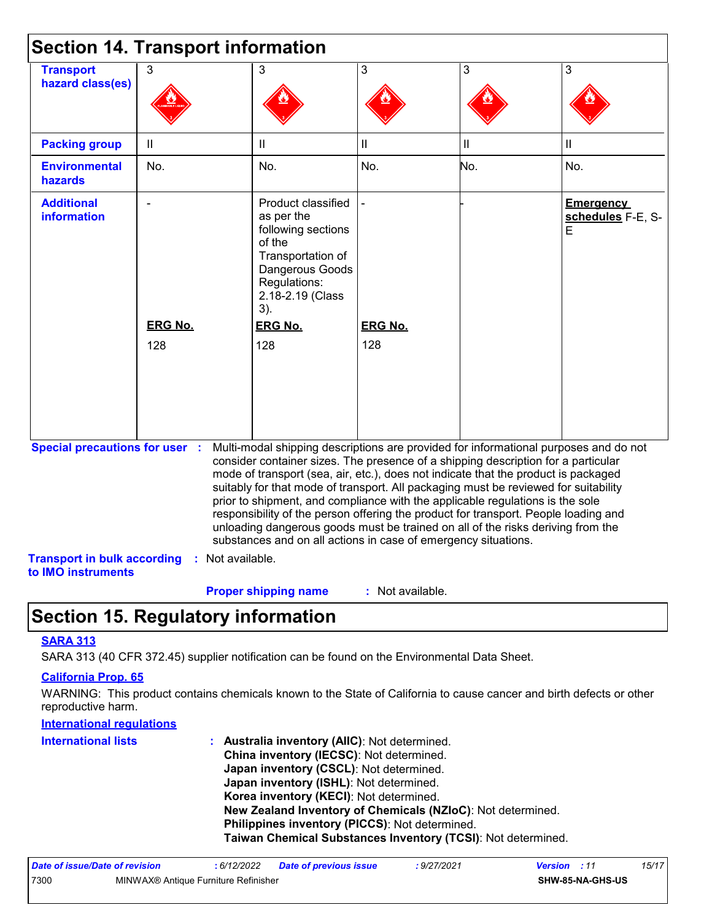| <b>Section 14. Transport information</b>                                                          |                       |                                                                                                                                                                                                                                                                                                                                                                                                                                                                                                                                                                                                                                                                                     |                       |              |                                            |
|---------------------------------------------------------------------------------------------------|-----------------------|-------------------------------------------------------------------------------------------------------------------------------------------------------------------------------------------------------------------------------------------------------------------------------------------------------------------------------------------------------------------------------------------------------------------------------------------------------------------------------------------------------------------------------------------------------------------------------------------------------------------------------------------------------------------------------------|-----------------------|--------------|--------------------------------------------|
| <b>Transport</b><br>hazard class(es)                                                              | 3                     | 3                                                                                                                                                                                                                                                                                                                                                                                                                                                                                                                                                                                                                                                                                   | 3                     | 3            | 3                                          |
| <b>Packing group</b>                                                                              | $\mathbf{II}$         | Ш                                                                                                                                                                                                                                                                                                                                                                                                                                                                                                                                                                                                                                                                                   | $\mathbf{  }$         | $\vert\vert$ | $\mathbf{I}$                               |
| <b>Environmental</b><br>hazards                                                                   | No.                   | No.                                                                                                                                                                                                                                                                                                                                                                                                                                                                                                                                                                                                                                                                                 | No.                   | No.          | No.                                        |
| <b>Additional</b><br><b>information</b>                                                           | <b>ERG No.</b><br>128 | Product classified<br>as per the<br>following sections<br>of the<br>Transportation of<br>Dangerous Goods<br>Regulations:<br>2.18-2.19 (Class<br>3).<br><b>ERG No.</b><br>128                                                                                                                                                                                                                                                                                                                                                                                                                                                                                                        | <b>ERG No.</b><br>128 |              | <b>Emergency</b><br>schedules F-E, S-<br>E |
| <b>Special precautions for user :</b><br><b>Transport in bulk according</b><br>to IMO instruments | : Not available.      | Multi-modal shipping descriptions are provided for informational purposes and do not<br>consider container sizes. The presence of a shipping description for a particular<br>mode of transport (sea, air, etc.), does not indicate that the product is packaged<br>suitably for that mode of transport. All packaging must be reviewed for suitability<br>prior to shipment, and compliance with the applicable regulations is the sole<br>responsibility of the person offering the product for transport. People loading and<br>unloading dangerous goods must be trained on all of the risks deriving from the<br>substances and on all actions in case of emergency situations. |                       |              |                                            |
|                                                                                                   |                       | <b>Proper shipping name</b>                                                                                                                                                                                                                                                                                                                                                                                                                                                                                                                                                                                                                                                         | $:$ Not available.    |              |                                            |

### **Section 15. Regulatory information**

#### **SARA 313**

SARA 313 (40 CFR 372.45) supplier notification can be found on the Environmental Data Sheet.

#### **California Prop. 65**

WARNING: This product contains chemicals known to the State of California to cause cancer and birth defects or other reproductive harm.

#### **International regulations**

| <b>International lists</b> | : Australia inventory (AIIC): Not determined.                |
|----------------------------|--------------------------------------------------------------|
|                            | China inventory (IECSC): Not determined.                     |
|                            | Japan inventory (CSCL): Not determined.                      |
|                            | <b>Japan inventory (ISHL):</b> Not determined.               |
|                            | Korea inventory (KECI): Not determined.                      |
|                            | New Zealand Inventory of Chemicals (NZIoC): Not determined.  |
|                            | Philippines inventory (PICCS): Not determined.               |
|                            | Taiwan Chemical Substances Inventory (TCSI): Not determined. |

| Date of issue/Date of revision |                                      | : 6/12/2022 | Date of previous issue | : 9/27/2021 | <b>Version</b> : 11 |                         | 15/17 |
|--------------------------------|--------------------------------------|-------------|------------------------|-------------|---------------------|-------------------------|-------|
| 7300                           | MINWAX® Antique Furniture Refinisher |             |                        |             |                     | <b>SHW-85-NA-GHS-US</b> |       |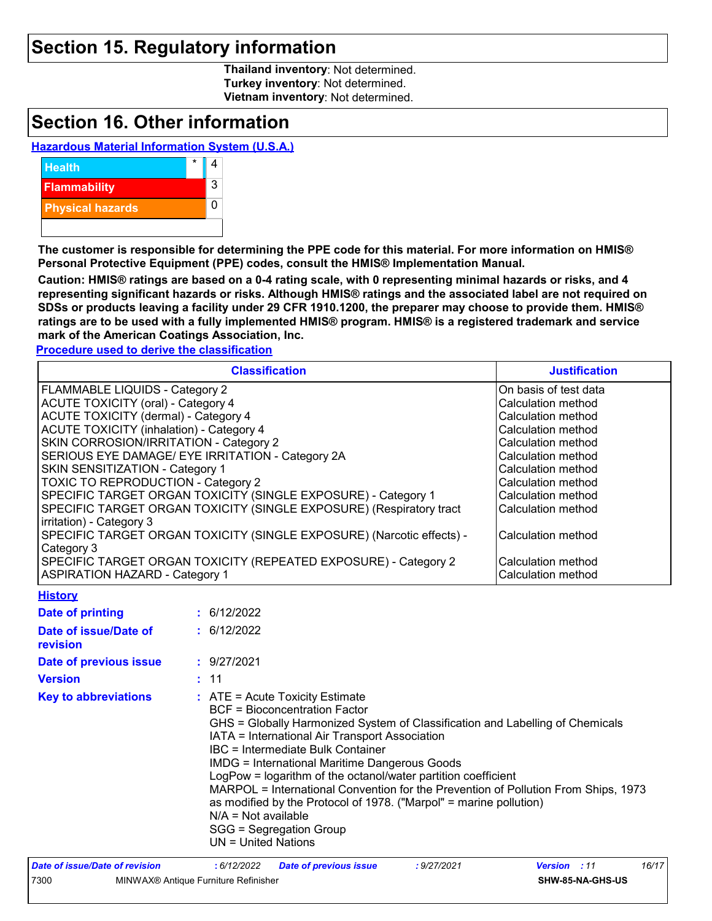### **Section 15. Regulatory information**

**Thailand inventory**: Not determined. **Turkey inventory**: Not determined. **Vietnam inventory**: Not determined.

### **Section 16. Other information**

#### **Hazardous Material Information System (U.S.A.)**



**The customer is responsible for determining the PPE code for this material. For more information on HMIS® Personal Protective Equipment (PPE) codes, consult the HMIS® Implementation Manual.**

**Caution: HMIS® ratings are based on a 0-4 rating scale, with 0 representing minimal hazards or risks, and 4 representing significant hazards or risks. Although HMIS® ratings and the associated label are not required on SDSs or products leaving a facility under 29 CFR 1910.1200, the preparer may choose to provide them. HMIS® ratings are to be used with a fully implemented HMIS® program. HMIS® is a registered trademark and service mark of the American Coatings Association, Inc.**

**Procedure used to derive the classification**

| <b>Classification</b>                                                 | <b>Justification</b>  |
|-----------------------------------------------------------------------|-----------------------|
| FLAMMABLE LIQUIDS - Category 2                                        | On basis of test data |
| <b>ACUTE TOXICITY (oral) - Category 4</b>                             | Calculation method    |
| ACUTE TOXICITY (dermal) - Category 4                                  | Calculation method    |
| <b>ACUTE TOXICITY (inhalation) - Category 4</b>                       | Calculation method    |
| SKIN CORROSION/IRRITATION - Category 2                                | Calculation method    |
| SERIOUS EYE DAMAGE/ EYE IRRITATION - Category 2A                      | Calculation method    |
| SKIN SENSITIZATION - Category 1                                       | Calculation method    |
| <b>TOXIC TO REPRODUCTION - Category 2</b>                             | Calculation method    |
| SPECIFIC TARGET ORGAN TOXICITY (SINGLE EXPOSURE) - Category 1         | Calculation method    |
| SPECIFIC TARGET ORGAN TOXICITY (SINGLE EXPOSURE) (Respiratory tract   | Calculation method    |
| irritation) - Category 3                                              |                       |
| SPECIFIC TARGET ORGAN TOXICITY (SINGLE EXPOSURE) (Narcotic effects) - | Calculation method    |
| Category 3                                                            |                       |
| SPECIFIC TARGET ORGAN TOXICITY (REPEATED EXPOSURE) - Category 2       | Calculation method    |
| <b>ASPIRATION HAZARD - Category 1</b>                                 | Calculation method    |

#### **History**

| <b>Date of printing</b>           | : 6/12/2022                                                                                                                                                                                                                                                                                                                                                                                                                                                                                                                                                                                                       |
|-----------------------------------|-------------------------------------------------------------------------------------------------------------------------------------------------------------------------------------------------------------------------------------------------------------------------------------------------------------------------------------------------------------------------------------------------------------------------------------------------------------------------------------------------------------------------------------------------------------------------------------------------------------------|
| Date of issue/Date of<br>revision | : 6/12/2022                                                                                                                                                                                                                                                                                                                                                                                                                                                                                                                                                                                                       |
| Date of previous issue            | : 9/27/2021                                                                                                                                                                                                                                                                                                                                                                                                                                                                                                                                                                                                       |
| <b>Version</b>                    | : 11                                                                                                                                                                                                                                                                                                                                                                                                                                                                                                                                                                                                              |
| <b>Key to abbreviations</b>       | $:$ ATE = Acute Toxicity Estimate<br><b>BCF</b> = Bioconcentration Factor<br>GHS = Globally Harmonized System of Classification and Labelling of Chemicals<br>IATA = International Air Transport Association<br>IBC = Intermediate Bulk Container<br><b>IMDG = International Maritime Dangerous Goods</b><br>LogPow = logarithm of the octanol/water partition coefficient<br>MARPOL = International Convention for the Prevention of Pollution From Ships, 1973<br>as modified by the Protocol of 1978. ("Marpol" = marine pollution)<br>$N/A = Not available$<br>SGG = Segregation Group<br>UN = United Nations |
| Date of issue/Date of revision    | 16/17<br>:6/12/2022<br><b>Date of previous issue</b><br>: 9/27/2021<br><b>Version</b><br>: 11                                                                                                                                                                                                                                                                                                                                                                                                                                                                                                                     |